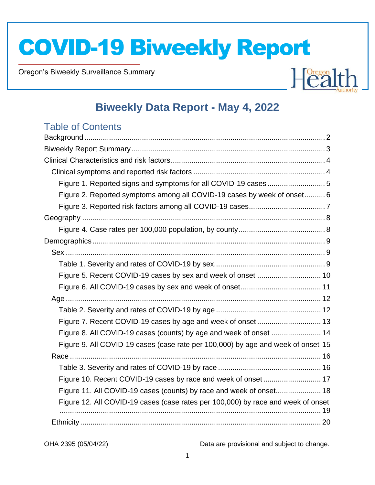Oregon's Biweekly Surveillance Summary

Novel Coronavirus (COVID-19)



### **Biweekly Data Report - May 4, 2022**

### Table of Contents

| Figure 1. Reported signs and symptoms for all COVID-19 cases  5                  |  |
|----------------------------------------------------------------------------------|--|
| Figure 2. Reported symptoms among all COVID-19 cases by week of onset 6          |  |
|                                                                                  |  |
|                                                                                  |  |
|                                                                                  |  |
|                                                                                  |  |
|                                                                                  |  |
|                                                                                  |  |
|                                                                                  |  |
|                                                                                  |  |
|                                                                                  |  |
|                                                                                  |  |
|                                                                                  |  |
| Figure 8. All COVID-19 cases (counts) by age and week of onset  14               |  |
| Figure 9. All COVID-19 cases (case rate per 100,000) by age and week of onset 15 |  |
|                                                                                  |  |
|                                                                                  |  |
| Figure 10. Recent COVID-19 cases by race and week of onset 17                    |  |
| Figure 11. All COVID-19 cases (counts) by race and week of onset 18              |  |
| Figure 12. All COVID-19 cases (case rates per 100,000) by race and week of onset |  |
|                                                                                  |  |
|                                                                                  |  |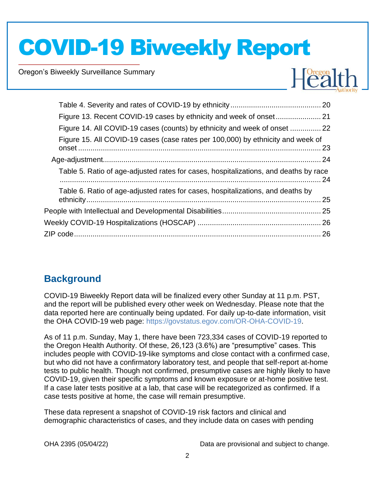Oregon's Biweekly Surveillance Summary

Novel Coronavirus (COVID-19)



| Figure 14. All COVID-19 cases (counts) by ethnicity and week of onset  22            |      |
|--------------------------------------------------------------------------------------|------|
| Figure 15. All COVID-19 cases (case rates per 100,000) by ethnicity and week of      |      |
|                                                                                      |      |
| Table 5. Ratio of age-adjusted rates for cases, hospitalizations, and deaths by race | . 24 |
| Table 6. Ratio of age-adjusted rates for cases, hospitalizations, and deaths by      | .25  |
|                                                                                      |      |
|                                                                                      |      |
|                                                                                      |      |
|                                                                                      |      |

### **Background**

COVID-19 Biweekly Report data will be finalized every other Sunday at 11 p.m. PST, and the report will be published every other week on Wednesday. Please note that the data reported here are continually being updated. For daily up-to-date information, visit the OHA COVID-19 web page: https://govstatus.egov.com/OR-OHA-COVID-19.

As of 11 p.m. Sunday, May 1, there have been 723,334 cases of COVID-19 reported to the Oregon Health Authority. Of these, 26,123 (3.6%) are "presumptive" cases. This includes people with COVID-19-like symptoms and close contact with a confirmed case, but who did not have a confirmatory laboratory test, and people that self-report at-home tests to public health. Though not confirmed, presumptive cases are highly likely to have COVID-19, given their specific symptoms and known exposure or at-home positive test. If a case later tests positive at a lab, that case will be recategorized as confirmed. If a case tests positive at home, the case will remain presumptive.

These data represent a snapshot of COVID-19 risk factors and clinical and demographic characteristics of cases, and they include data on cases with pending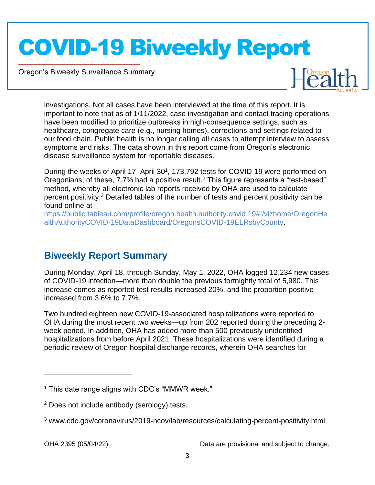Oregon's Biweekly Surveillance Summary

Novel Coronavirus (COVID-19)



investigations. Not all cases have been interviewed at the time of this report. It is important to note that as of 1/11/2022, case investigation and contact tracing operations have been modified to prioritize outbreaks in high-consequence settings, such as healthcare, congregate care (e.g., nursing homes), corrections and settings related to our food chain. Public health is no longer calling all cases to attempt interview to assess symptoms and risks. The data shown in this report come from Oregon's electronic disease surveillance system for reportable diseases.

During the weeks of April 17-April 30<sup>1</sup>, 173,792 tests for COVID-19 were performed on Oregonians; of these, 7.7% had a positive result.<sup>2</sup> This figure represents a "test-based" method, whereby all electronic lab reports received by OHA are used to calculate percent positivity.<sup>3</sup> Detailed tables of the number of tests and percent positivity can be found online at

https://public.tableau.com/profile/oregon.health.authority.covid.19#!/vizhome/OregonHe althAuthorityCOVID-19DataDashboard/OregonsCOVID-19ELRsbyCounty.

### **Biweekly Report Summary**

During Monday, April 18, through Sunday, May 1, 2022, OHA logged 12,234 new cases of COVID-19 infection—more than double the previous fortnightly total of 5,980. This increase comes as reported test results increased 20%, and the proportion positive increased from 3.6% to 7.7%.

Two hundred eighteen new COVID-19-associated hospitalizations were reported to OHA during the most recent two weeks—up from 202 reported during the preceding 2 week period. In addition, OHA has added more than 500 previously unidentified hospitalizations from before April 2021. These hospitalizations were identified during a periodic review of Oregon hospital discharge records, wherein OHA searches for

 $1$  This date range aligns with CDC's "MMWR week."

<sup>2</sup> Does not include antibody (serology) tests.

<sup>3</sup> www.cdc.gov/coronavirus/2019-ncov/lab/resources/calculating-percent-positivity.html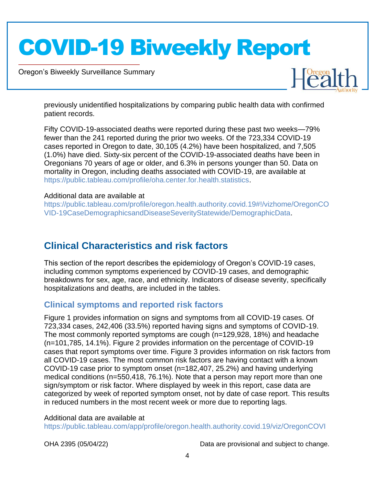Oregon's Biweekly Surveillance Summary

Novel Coronavirus (COVID-19)



previously unidentified hospitalizations by comparing public health data with confirmed patient records.

Fifty COVID-19-associated deaths were reported during these past two weeks—79% fewer than the 241 reported during the prior two weeks. Of the 723,334 COVID-19 cases reported in Oregon to date, 30,105 (4.2%) have been hospitalized, and 7,505 (1.0%) have died. Sixty-six percent of the COVID-19-associated deaths have been in Oregonians 70 years of age or older, and 6.3% in persons younger than 50. Data on mortality in Oregon, including deaths associated with COVID-19, are available at https://public.tableau.com/profile/oha.center.for.health.statistics.

#### Additional data are available at

https://public.tableau.com/profile/oregon.health.authority.covid.19#!/vizhome/OregonCO VID-19CaseDemographicsandDiseaseSeverityStatewide/DemographicData.

### **Clinical Characteristics and risk factors**

This section of the report describes the epidemiology of Oregon's COVID-19 cases, including common symptoms experienced by COVID-19 cases, and demographic breakdowns for sex, age, race, and ethnicity. Indicators of disease severity, specifically hospitalizations and deaths, are included in the tables.

#### **Clinical symptoms and reported risk factors**

Figure 1 provides information on signs and symptoms from all COVID-19 cases. Of 723,334 cases, 242,406 (33.5%) reported having signs and symptoms of COVID-19. The most commonly reported symptoms are cough (n=129,928, 18%) and headache (n=101,785, 14.1%). Figure 2 provides information on the percentage of COVID-19 cases that report symptoms over time. Figure 3 provides information on risk factors from all COVID-19 cases. The most common risk factors are having contact with a known COVID-19 case prior to symptom onset (n=182,407, 25.2%) and having underlying medical conditions (n=550,418, 76.1%). Note that a person may report more than one sign/symptom or risk factor. Where displayed by week in this report, case data are categorized by week of reported symptom onset, not by date of case report. This results in reduced numbers in the most recent week or more due to reporting lags.

#### Additional data are available at

https://public.tableau.com/app/profile/oregon.health.authority.covid.19/viz/OregonCOVI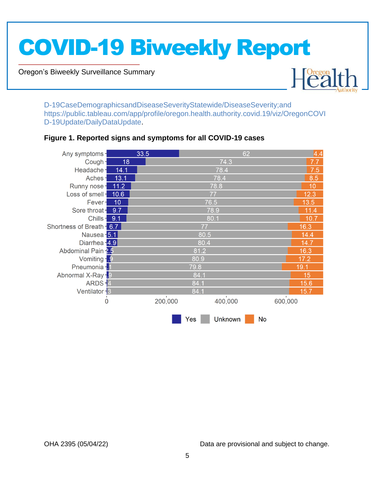Oregon's Biweekly Surveillance Summary

Novel Coronavirus (COVID-19)



D-19CaseDemographicsandDiseaseSeverityStatewide/DiseaseSeverity;and https://public.tableau.com/app/profile/oregon.health.authority.covid.19/viz/OregonCOVI D-19Update/DailyDataUpdate.

#### $33.5$ Any symptoms -62  $\overline{18}$ 74.3 Cough-78.4 Headache- $14.1$  $7.5$  $13.1$ Aches-78.4 8.5 78.8 Runny nose - 11.2  $10<sup>°</sup>$ Loss of smell - 10.6  $12.3$ 77 76.5  $13.5$ Fever- $-10$ Sore throat - 9.7 78.9  $11.4$ **Chills - 9.1** 80.1  $10.7$ Shortness of Breath - 6.7 77  $16.3$ Nausea - 5.1  $80.5$  $14.4$ Diarrhea - 4.9 80.4  $14.7$ Abdominal Pain 2.5 81.2  $16.3$ Vomiting - 9 80.9  $17.2$ Pneumonia - 1 79.8  $19.1$ Abnormal X-Ray-9 84.1  $15$ ARDS-4 84.1  $15.6$ Ventilator - 3 84.1 15.7 200,000 400,000 600.000  $\dot{0}$ Yes Unknown No

#### **Figure 1. Reported signs and symptoms for all COVID-19 cases**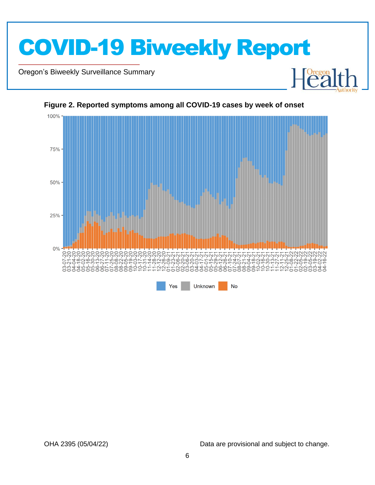

Oregon's Biweekly Surveillance Summary

Novel Coronavirus (COVID-19)



#### **Figure 2. Reported symptoms among all COVID-19 cases by week of onset**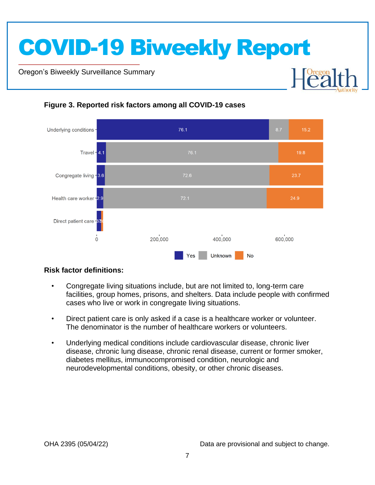Oregon's Biweekly Surveillance Summary

Novel Coronavirus (COVID-19)



#### **Figure 3. Reported risk factors among all COVID-19 cases**

#### **Risk factor definitions:**

- Congregate living situations include, but are not limited to, long-term care facilities, group homes, prisons, and shelters. Data include people with confirmed cases who live or work in congregate living situations.
- Direct patient care is only asked if a case is a healthcare worker or volunteer. The denominator is the number of healthcare workers or volunteers.
- Underlying medical conditions include cardiovascular disease, chronic liver disease, chronic lung disease, chronic renal disease, current or former smoker, diabetes mellitus, immunocompromised condition, neurologic and neurodevelopmental conditions, obesity, or other chronic diseases.

**Dregon**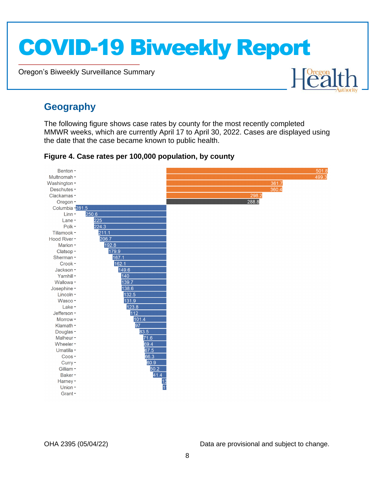Oregon's Biweekly Surveillance Summary

Novel Coronavirus (COVID-19)

### **Geography**

The following figure shows case rates by county for the most recently completed MMWR weeks, which are currently April 17 to April 30, 2022. Cases are displayed using the date that the case became known to public health.



#### **Figure 4. Case rates per 100,000 population, by county**

OHA 2395 (05/04/22) Data are provisional and subject to change.

Healt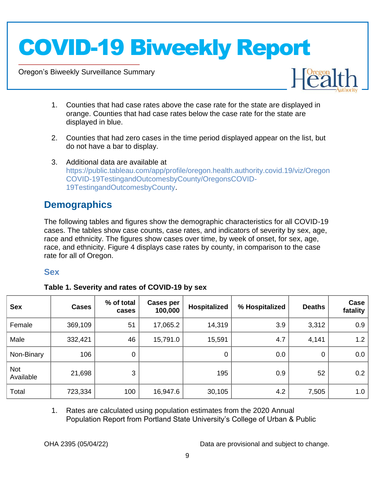Oregon's Biweekly Surveillance Summary

Novel Coronavirus (COVID-19)



- 1. Counties that had case rates above the case rate for the state are displayed in orange. Counties that had case rates below the case rate for the state are displayed in blue.
- 2. Counties that had zero cases in the time period displayed appear on the list, but do not have a bar to display.
- 3. Additional data are available at https://public.tableau.com/app/profile/oregon.health.authority.covid.19/viz/Oregon COVID-19TestingandOutcomesbyCounty/OregonsCOVID-19TestingandOutcomesbyCounty.

### **Demographics**

The following tables and figures show the demographic characteristics for all COVID-19 cases. The tables show case counts, case rates, and indicators of severity by sex, age, race and ethnicity. The figures show cases over time, by week of onset, for sex, age, race, and ethnicity. Figure 4 displays case rates by county, in comparison to the case rate for all of Oregon.

#### **Sex**

|  | Table 1. Severity and rates of COVID-19 by sex |  |
|--|------------------------------------------------|--|
|  |                                                |  |

| <b>Sex</b>       | <b>Cases</b> | % of total<br>cases | <b>Cases per</b><br>100,000 | <b>Hospitalized</b> | % Hospitalized | <b>Deaths</b> | Case<br>fatality |
|------------------|--------------|---------------------|-----------------------------|---------------------|----------------|---------------|------------------|
| Female           | 369,109      | 51                  | 17,065.2                    | 14,319              | 3.9            | 3,312         | 0.9              |
| Male             | 332,421      | 46                  | 15,791.0                    | 15,591              | 4.7            | 4,141         | 1.2              |
| Non-Binary       | 106          | 0                   |                             | 0                   | 0.0            | 0             | 0.0              |
| Not<br>Available | 21,698       | 3                   |                             | 195                 | 0.9            | 52            | 0.2              |
| Total            | 723,334      | 100                 | 16,947.6                    | 30,105              | 4.2            | 7,505         | 1.0              |

1. Rates are calculated using population estimates from the 2020 Annual Population Report from Portland State University's College of Urban & Public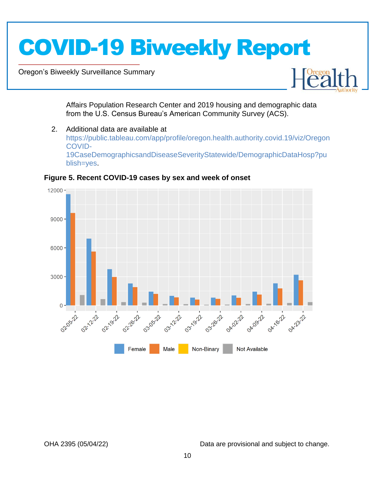Oregon's Biweekly Surveillance Summary

Novel Coronavirus (COVID-19)



Affairs Population Research Center and 2019 housing and demographic data from the U.S. Census Bureau's American Community Survey (ACS).

2. Additional data are available at https://public.tableau.com/app/profile/oregon.health.authority.covid.19/viz/Oregon COVID-19CaseDemographicsandDiseaseSeverityStatewide/DemographicDataHosp?pu blish=yes.



**Figure 5. Recent COVID-19 cases by sex and week of onset**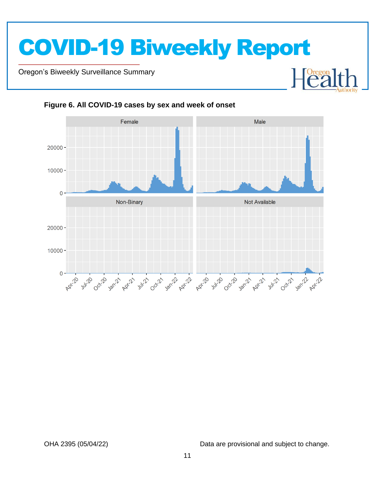

Oregon's Biweekly Surveillance Summary

Novel Coronavirus (COVID-19)



**Figure 6. All COVID-19 cases by sex and week of onset**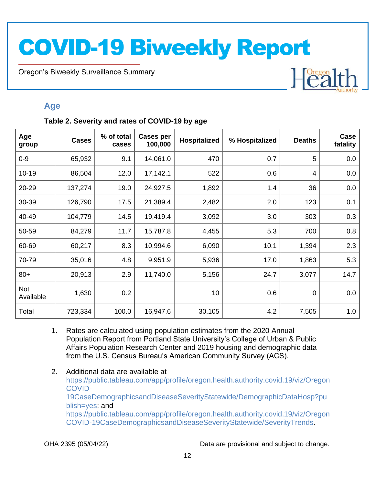Oregon's Biweekly Surveillance Summary

### **Age**

Novel Coronavirus (COVID-19)

#### **Table 2. Severity and rates of COVID-19 by age**

| Age<br>group            | <b>Cases</b> | % of total<br>cases | <b>Cases per</b><br>100,000 | <b>Hospitalized</b> | % Hospitalized | <b>Deaths</b>  | Case<br>fatality |
|-------------------------|--------------|---------------------|-----------------------------|---------------------|----------------|----------------|------------------|
| $0 - 9$                 | 65,932       | 9.1                 | 14,061.0                    | 470                 | 0.7            | 5              | 0.0              |
| $10 - 19$               | 86,504       | 12.0                | 17,142.1                    | 522                 | 0.6            | $\overline{4}$ | 0.0              |
| 20-29                   | 137,274      | 19.0                | 24,927.5                    | 1,892               | 1.4            | 36             | 0.0              |
| 30-39                   | 126,790      | 17.5                | 21,389.4                    | 2,482               | 2.0            | 123            | 0.1              |
| 40-49                   | 104,779      | 14.5                | 19,419.4                    | 3,092               | 3.0            | 303            | 0.3              |
| 50-59                   | 84,279       | 11.7                | 15,787.8                    | 4,455               | 5.3            | 700            | 0.8              |
| 60-69                   | 60,217       | 8.3                 | 10,994.6                    | 6,090               | 10.1           | 1,394          | 2.3              |
| 70-79                   | 35,016       | 4.8                 | 9,951.9                     | 5,936               | 17.0           | 1,863          | 5.3              |
| $80+$                   | 20,913       | 2.9                 | 11,740.0                    | 5,156               | 24.7           | 3,077          | 14.7             |
| <b>Not</b><br>Available | 1,630        | 0.2                 |                             | 10                  | 0.6            | $\mathbf 0$    | 0.0              |
| Total                   | 723,334      | 100.0               | 16,947.6                    | 30,105              | 4.2            | 7,505          | 1.0              |

- 1. Rates are calculated using population estimates from the 2020 Annual Population Report from Portland State University's College of Urban & Public Affairs Population Research Center and 2019 housing and demographic data from the U.S. Census Bureau's American Community Survey (ACS).
- 2. Additional data are available at https://public.tableau.com/app/profile/oregon.health.authority.covid.19/viz/Oregon COVID-19CaseDemographicsandDiseaseSeverityStatewide/DemographicDataHosp?pu blish=yes; and https://public.tableau.com/app/profile/oregon.health.authority.covid.19/viz/Oregon COVID-19CaseDemographicsandDiseaseSeverityStatewide/SeverityTrends.

OHA 2395 (05/04/22) Data are provisional and subject to change.

Healt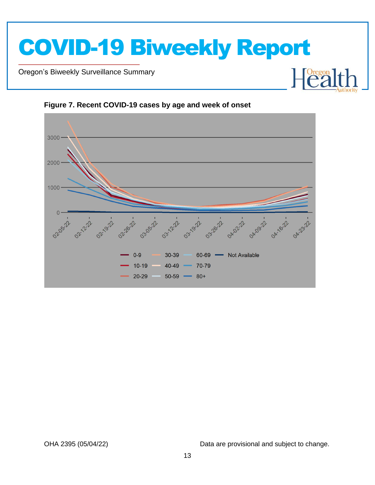





Novel Coronavirus (COVID-19)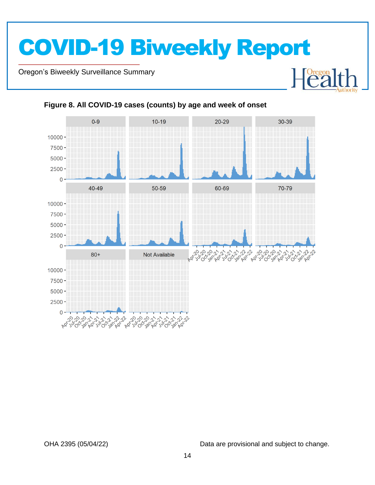Oregon's Biweekly Surveillance Summary

Novel Coronavirus (COVID-19)



#### **Figure 8. All COVID-19 cases (counts) by age and week of onset**

OHA 2395 (05/04/22) Data are provisional and subject to change.

 $\begin{bmatrix} \text{Oregon} \\ \text{C2} \end{bmatrix}$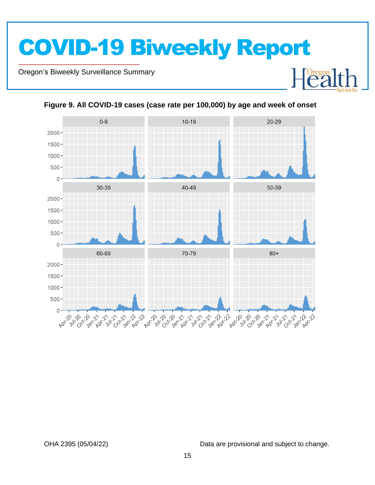Oregon's Biweekly Surveillance Summary

Novel Coronavirus (COVID-19)



**Figure 9. All COVID-19 cases (case rate per 100,000) by age and week of onset**

OHA 2395 (05/04/22) Data are provisional and subject to change.

Heal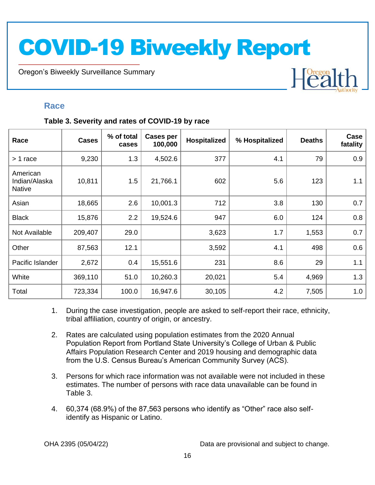Oregon's Biweekly Surveillance Summary

#### **Race**

Novel Coronavirus (COVID-19)

#### **Table 3. Severity and rates of COVID-19 by race**

| Race                                       | <b>Cases</b> | % of total<br>cases | Cases per<br>100,000 | Hospitalized | % Hospitalized | <b>Deaths</b> | Case<br>fatality |
|--------------------------------------------|--------------|---------------------|----------------------|--------------|----------------|---------------|------------------|
| > 1 race                                   | 9,230        | 1.3                 | 4,502.6              | 377          | 4.1            | 79            | 0.9              |
| American<br>Indian/Alaska<br><b>Native</b> | 10,811       | 1.5                 | 21,766.1             | 602          | 5.6            | 123           | 1.1              |
| Asian                                      | 18,665       | 2.6                 | 10,001.3             | 712          | 3.8            | 130           | 0.7              |
| <b>Black</b>                               | 15,876       | 2.2                 | 19,524.6             | 947          | 6.0            | 124           | 0.8              |
| Not Available                              | 209,407      | 29.0                |                      | 3,623        | 1.7            | 1,553         | 0.7              |
| Other                                      | 87,563       | 12.1                |                      | 3,592        | 4.1            | 498           | 0.6              |
| Pacific Islander                           | 2,672        | 0.4                 | 15,551.6             | 231          | 8.6            | 29            | 1.1              |
| White                                      | 369,110      | 51.0                | 10,260.3             | 20,021       | 5.4            | 4,969         | 1.3              |
| Total                                      | 723,334      | 100.0               | 16,947.6             | 30,105       | 4.2            | 7,505         | 1.0              |

- 1. During the case investigation, people are asked to self-report their race, ethnicity, tribal affiliation, country of origin, or ancestry.
- 2. Rates are calculated using population estimates from the 2020 Annual Population Report from Portland State University's College of Urban & Public Affairs Population Research Center and 2019 housing and demographic data from the U.S. Census Bureau's American Community Survey (ACS).
- 3. Persons for which race information was not available were not included in these estimates. The number of persons with race data unavailable can be found in Table 3.
- 4. 60,374 (68.9%) of the 87,563 persons who identify as "Other" race also selfidentify as Hispanic or Latino.

OHA 2395 (05/04/22) Data are provisional and subject to change.

 $H<sup>O  
regon</sup>$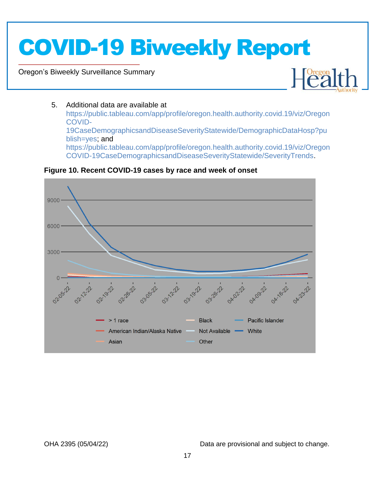Oregon's Biweekly Surveillance Summary

Novel Coronavirus (COVID-19)



#### 5. Additional data are available at

https://public.tableau.com/app/profile/oregon.health.authority.covid.19/viz/Oregon COVID-19CaseDemographicsandDiseaseSeverityStatewide/DemographicDataHosp?pu blish=yes; and https://public.tableau.com/app/profile/oregon.health.authority.covid.19/viz/Oregon COVID-19CaseDemographicsandDiseaseSeverityStatewide/SeverityTrends.



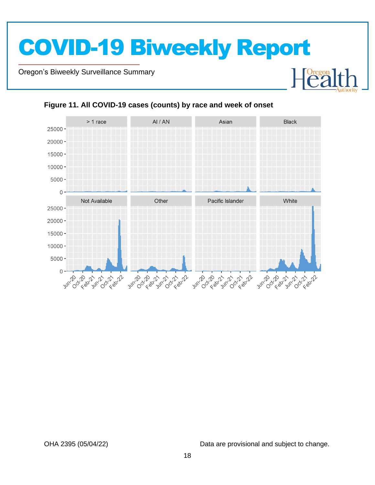Oregon's Biweekly Surveillance Summary

Novel Coronavirus (COVID-19)



#### **Figure 11. All COVID-19 cases (counts) by race and week of onset**

OHA 2395 (05/04/22) Data are provisional and subject to change.

Heal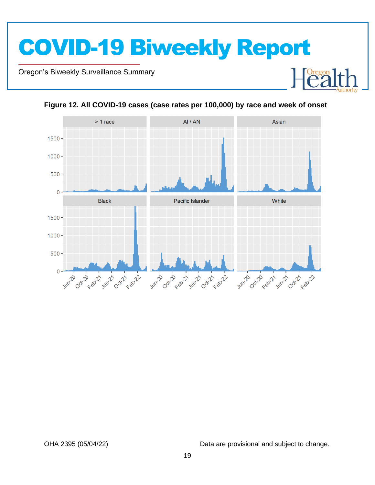



**Figure 12. All COVID-19 cases (case rates per 100,000) by race and week of onset**

Novel Coronavirus (COVID-19)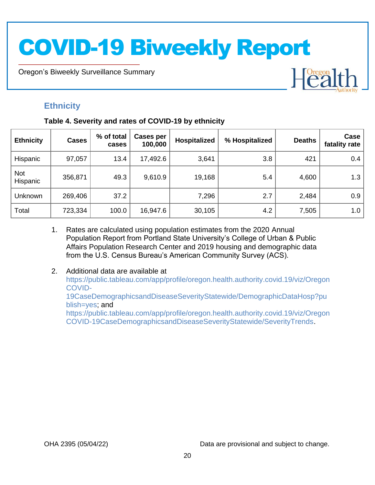Oregon's Biweekly Surveillance Summary

### **Ethnicity**

Novel Coronavirus (COVID-19)

#### **Table 4. Severity and rates of COVID-19 by ethnicity**

| <b>Ethnicity</b>       | <b>Cases</b> | % of total<br>cases | Cases per<br>100,000 | Hospitalized | % Hospitalized | <b>Deaths</b> | Case<br>fatality rate |
|------------------------|--------------|---------------------|----------------------|--------------|----------------|---------------|-----------------------|
| Hispanic               | 97,057       | 13.4                | 17,492.6             | 3,641        | 3.8            | 421           | 0.4                   |
| <b>Not</b><br>Hispanic | 356,871      | 49.3                | 9,610.9              | 19,168       | 5.4            | 4,600         | 1.3                   |
| Unknown                | 269,406      | 37.2                |                      | 7,296        | 2.7            | 2,484         | 0.9                   |
| Total                  | 723,334      | 100.0               | 16,947.6             | 30,105       | 4.2            | 7,505         | 1.0                   |

- 1. Rates are calculated using population estimates from the 2020 Annual Population Report from Portland State University's College of Urban & Public Affairs Population Research Center and 2019 housing and demographic data from the U.S. Census Bureau's American Community Survey (ACS).
- 2. Additional data are available at https://public.tableau.com/app/profile/oregon.health.authority.covid.19/viz/Oregon COVID-19CaseDemographicsandDiseaseSeverityStatewide/DemographicDataHosp?pu blish=yes; and https://public.tableau.com/app/profile/oregon.health.authority.covid.19/viz/Oregon COVID-19CaseDemographicsandDiseaseSeverityStatewide/SeverityTrends.

OHA 2395 (05/04/22) Data are provisional and subject to change.

Heal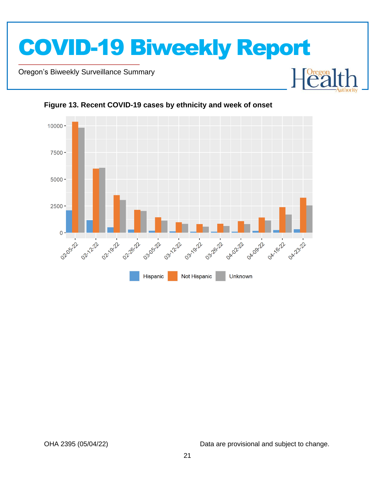

Oregon's Biweekly Surveillance Summary

Novel Coronavirus (COVID-19)



**Figure 13. Recent COVID-19 cases by ethnicity and week of onset**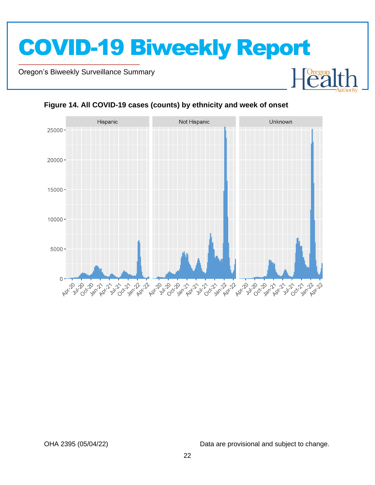Oregon's Biweekly Surveillance Summary

Novel Coronavirus (COVID-19)



#### **Figure 14. All COVID-19 cases (counts) by ethnicity and week of onset**

OHA 2395 (05/04/22) Data are provisional and subject to change.

**Dregon**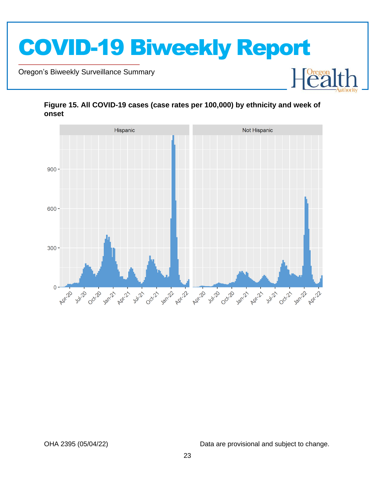

Oregon's Biweekly Surveillance Summary

Novel Coronavirus (COVID-19)



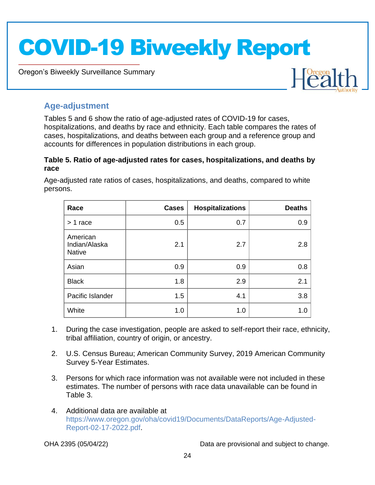Oregon's Biweekly Surveillance Summary



### **Age-adjustment**

Novel Coronavirus (COVID-19)

Tables 5 and 6 show the ratio of age-adjusted rates of COVID-19 for cases, hospitalizations, and deaths by race and ethnicity. Each table compares the rates of cases, hospitalizations, and deaths between each group and a reference group and accounts for differences in population distributions in each group.

#### **Table 5. Ratio of age-adjusted rates for cases, hospitalizations, and deaths by race**

Age-adjusted rate ratios of cases, hospitalizations, and deaths, compared to white persons.

| Race                                       | <b>Cases</b> | <b>Hospitalizations</b> | <b>Deaths</b> |
|--------------------------------------------|--------------|-------------------------|---------------|
| $> 1$ race                                 | 0.5          | 0.7                     | 0.9           |
| American<br>Indian/Alaska<br><b>Native</b> | 2.1          | 2.7                     | 2.8           |
| Asian                                      | 0.9          | 0.9                     | 0.8           |
| <b>Black</b>                               | 1.8          | 2.9                     | 2.1           |
| Pacific Islander                           | 1.5          | 4.1                     | 3.8           |
| White                                      | 1.0          | 1.0                     | 1.0           |

- 1. During the case investigation, people are asked to self-report their race, ethnicity, tribal affiliation, country of origin, or ancestry.
- 2. U.S. Census Bureau; American Community Survey, 2019 American Community Survey 5-Year Estimates.
- 3. Persons for which race information was not available were not included in these estimates. The number of persons with race data unavailable can be found in Table 3.
- 4. Additional data are available at https://www.oregon.gov/oha/covid19/Documents/DataReports/Age-Adjusted-Report-02-17-2022.pdf.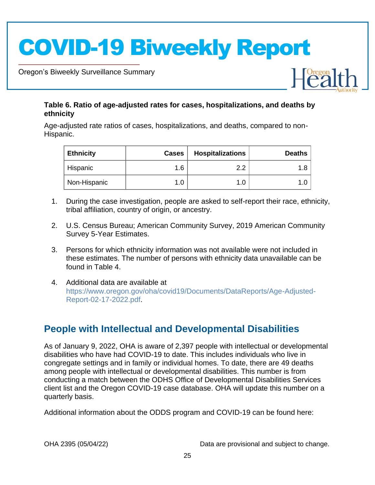Oregon's Biweekly Surveillance Summary

Novel Coronavirus (COVID-19)

#### **Table 6. Ratio of age-adjusted rates for cases, hospitalizations, and deaths by ethnicity**

Age-adjusted rate ratios of cases, hospitalizations, and deaths, compared to non-Hispanic.

| <b>Ethnicity</b> | <b>Cases</b> | <b>Hospitalizations</b> | <b>Deaths</b> |
|------------------|--------------|-------------------------|---------------|
| Hispanic         | 1.6          | າ າ                     |               |
| Non-Hispanic     | 1.0          | 1.0                     |               |

- 1. During the case investigation, people are asked to self-report their race, ethnicity, tribal affiliation, country of origin, or ancestry.
- 2. U.S. Census Bureau; American Community Survey, 2019 American Community Survey 5-Year Estimates.
- 3. Persons for which ethnicity information was not available were not included in these estimates. The number of persons with ethnicity data unavailable can be found in Table 4.
- 4. Additional data are available at https://www.oregon.gov/oha/covid19/Documents/DataReports/Age-Adjusted-Report-02-17-2022.pdf.

### **People with Intellectual and Developmental Disabilities**

As of January 9, 2022, OHA is aware of 2,397 people with intellectual or developmental disabilities who have had COVID-19 to date. This includes individuals who live in congregate settings and in family or individual homes. To date, there are 49 deaths among people with intellectual or developmental disabilities. This number is from conducting a match between the ODHS Office of Developmental Disabilities Services client list and the Oregon COVID-19 case database. OHA will update this number on a quarterly basis.

Additional information about the ODDS program and COVID-19 can be found here:

OHA 2395 (05/04/22) Data are provisional and subject to change.

 $\begin{bmatrix} \text{Oregon} \\ \text{C2} \end{bmatrix}$